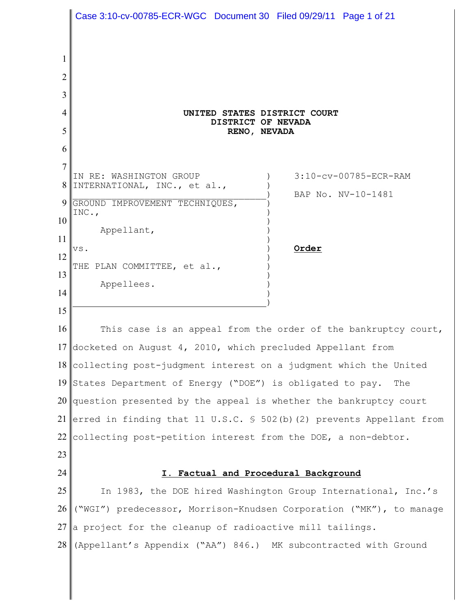1 2 3 4 5 6 7 8 INTERNATIONAL, INC., et al.,  $\qquad \qquad$  ) 9 10 11 12 13 14 15 16 17 docketed on August 4, 2010, which precluded Appellant from 18 19 States Department of Energy ("DOE") is obligated to pay. The 20 question presented by the appeal is whether the bankruptcy court 21 erred in finding that 11 U.S.C. § 502(b)(2) prevents Appellant from 22 collecting post-petition interest from the DOE, a non-debtor. 23 24 25 26 27 28 **UNITED STATES DISTRICT COURT DISTRICT OF NEVADA RENO, NEVADA** IN RE: WASHINGTON GROUP ) 3:10-cv-00785-ECR-RAM BAP No. NV-10-1481 GROUND IMPROVEMENT TECHNIQUES,  $INC.,$  ) ) Appellant, ) ) vs. ) **Order** ) THE PLAN COMMITTEE, et al., ) Appellees. ) ) ) This case is an appeal from the order of the bankruptcy court, collecting post-judgment interest on a judgment which the United **I. Factual and Procedural Background** In 1983, the DOE hired Washington Group International, Inc.'s ("WGI") predecessor, Morrison-Knudsen Corporation ("MK"), to manage a project for the cleanup of radioactive mill tailings. (Appellant's Appendix ("AA") 846.) MK subcontracted with Ground Case 3:10-cv-00785-ECR-WGC Document 30 Filed 09/29/11 Page 1 of 21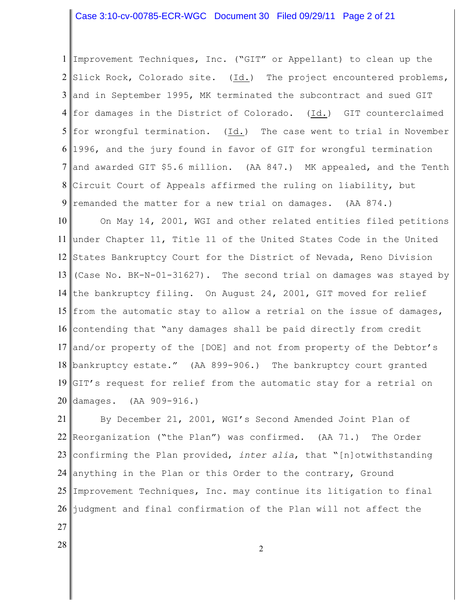# Case 3:10-cv-00785-ECR-WGC Document 30 Filed 09/29/11 Page 2 of 21

1 Improvement Techniques, Inc. ("GIT" or Appellant) to clean up the  $2 \parallel$ Slick Rock, Colorado site. (Id.) The project encountered problems, 3 and in September 1995, MK terminated the subcontract and sued GIT  $4\parallel$ for damages in the District of Colorado. (<u>Id.</u>) <code>GIT</code> counterclaimed 5 for wrongful termination. (Id.) The case went to trial in November 6 1996, and the jury found in favor of GIT for wrongful termination 7 8 9 and awarded GIT \$5.6 million. (AA 847.) MK appealed, and the Tenth Circuit Court of Appeals affirmed the ruling on liability, but remanded the matter for a new trial on damages. (AA 874.)

10 11 12 States Bankruptcy Court for the District of Nevada, Reno Division 13 14 the bankruptcy filing. On August 24, 2001, GIT moved for relief 15 from the automatic stay to allow a retrial on the issue of damages, 16 contending that "any damages shall be paid directly from credit 17 and/or property of the [DOE] and not from property of the Debtor's 18 bankruptcy estate." (AA 899-906.) The bankruptcy court granted 19 GIT's request for relief from the automatic stay for a retrial on 20 damages. (AA 909-916.) On May 14, 2001, WGI and other related entities filed petitions under Chapter 11, Title 11 of the United States Code in the United (Case No. BK-N-01-31627). The second trial on damages was stayed by

21 22 Reorganization ("the Plan") was confirmed. (AA 71.) The Order 23 confirming the Plan provided, *inter alia*, that "[n]otwithstanding 24 anything in the Plan or this Order to the contrary, Ground 25 I 26 By December 21, 2001, WGI's Second Amended Joint Plan of Improvement Techniques, Inc. may continue its litigation to final judgment and final confirmation of the Plan will not affect the

- 27
- 28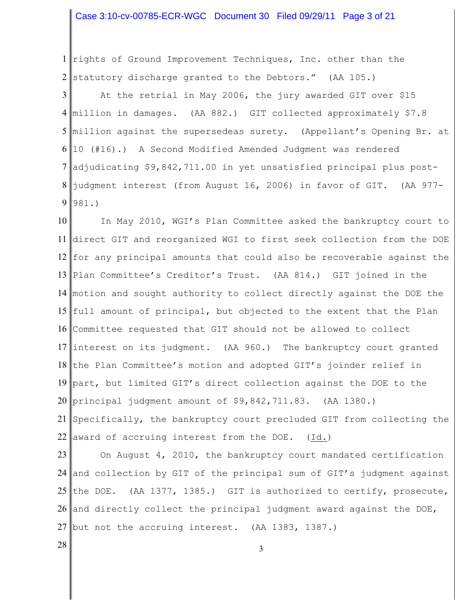# Case 3:10-cv-00785-ECR-WGC Document 30 Filed 09/29/11 Page 3 of 21

1 rights of Ground Improvement Techniques, Inc. other than the statutory discharge granted to the Debtors." (AA 105.)

 million in damages. (AA 882.) GIT collected approximately \$7.8 million against the supersedeas surety. (Appellant's Opening Br. at 10 (#16).) A Second Modified Amended Judgment was rendered adjudicating \$9,842,711.00 in yet unsatisfied principal plus post- At the retrial in May 2006, the jury awarded GIT over \$15 judgment interest (from August 16, 2006) in favor of GIT. (AA 977- 981.)

 direct GIT and reorganized WGI to first seek collection from the DOE for any principal amounts that could also be recoverable against the Plan Committee's Creditor's Trust. (AA 814.) GIT joined in the motion and sought authority to collect directly against the DOE the full amount of principal, but objected to the extent that the Plan Committee requested that GIT should not be allowed to collect 17 interest on its judgment. (AA 960.) The bankruptcy court granted 18 the Plan Committee's motion and adopted GIT's joinder relief in part, but limited GIT's direct collection against the DOE to the principal judgment amount of \$9,842,711.83. (AA 1380.) Specifically, the bankruptcy court precluded GIT from collecting the 22 award of accruing interest from the DOE.  $(Id.)$ In May 2010, WGI's Plan Committee asked the bankruptcy court to

 and collection by GIT of the principal sum of GIT's judgment against 25 the DOE. (AA 1377, 1385.) GIT is authorized to certify, prosecute, 26 and directly collect the principal judgment award against the DOE, but not the accruing interest. (AA 1383, 1387.) On August 4, 2010, the bankruptcy court mandated certification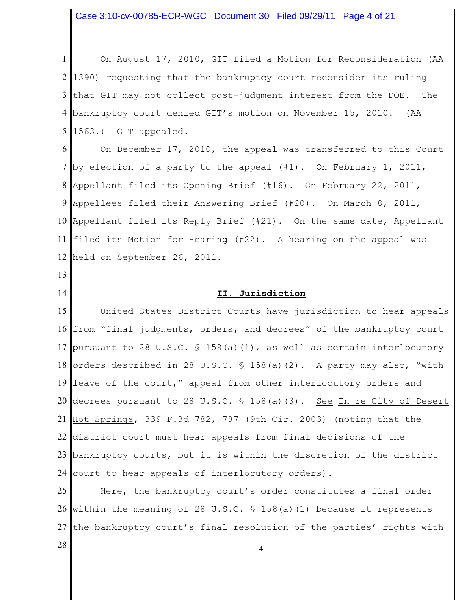Case 3:10-cv-00785-ECR-WGC Document 30 Filed 09/29/11 Page 4 of 21

1 2 l 3 4 bankruptcy court denied GIT's motion on November 15, 2010. (AA 5 1563.) GIT appealed. On August 17, 2010, GIT filed a Motion for Reconsideration (AA 1390) requesting that the bankruptcy court reconsider its ruling that GIT may not collect post-judgment interest from the DOE. The

6 7 by election of a party to the appeal (#1). On February 1, 2011, 8 Appellant filed its Opening Brief (#16). On February 22, 2011, 9 10 Appellant filed its Reply Brief (#21). On the same date, Appellant 11 filed its Motion for Hearing (#22). A hearing on the appeal was 12 held on September 26, 2011. On December 17, 2010, the appeal was transferred to this Court Appellees filed their Answering Brief (#20). On March 8, 2011,

13

14

# **II. Jurisdiction**

15 16 from "final judgments, orders, and decrees" of the bankruptcy court 17 pursuant to 28 U.S.C. § 158(a)(1), as well as certain interlocutory 18 orders described in 28 U.S.C. § 158(a)(2). A party may also, "with 19 leave of the court," appeal from other interlocutory orders and 20 decrees pursuant to 28 U.S.C. § 158(a)(3). <u>See In re City of Desert</u> 21 Hot Springs, 339 F.3d 782, 787 (9th Cir. 2003) (noting that the 22 district court must hear appeals from final decisions of the 23 bankruptcy courts, but it is within the discretion of the district 24 United States District Courts have jurisdiction to hear appeals court to hear appeals of interlocutory orders).

25 26 within the meaning of 28 U.S.C. § 158(a)(1) because it represents 27 Here, the bankruptcy court's order constitutes a final order the bankruptcy court's final resolution of the parties' rights with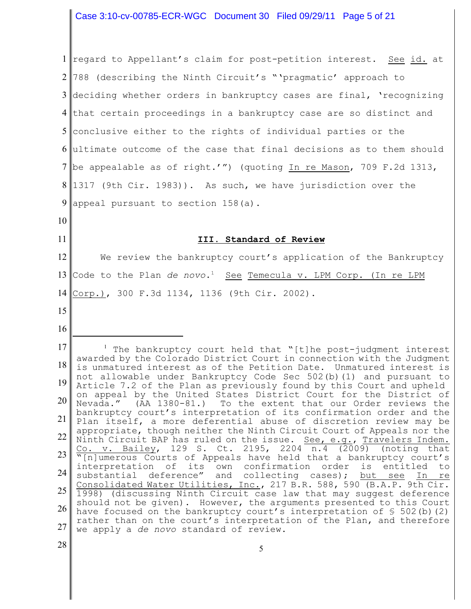Case 3:10-cv-00785-ECR-WGC Document 30 Filed 09/29/11 Page 5 of 21

1 regard to Appellant's claim for post-petition interest. See id. at 2 l 3 deciding whether orders in bankruptcy cases are final, 'recognizing 4 5 conclusive either to the rights of individual parties or the 6 ultimate outcome of the case that final decisions as to them should 7 be appealable as of right.'") (quoting In re Mason, 709 F.2d 1313, 8 1317 (9th Cir. 1983)). As such, we have jurisdiction over the 9 10 11 12 13 14 15 16 17 18 19 20 21 22 23 24 25 26 27 28 788 (describing the Ninth Circuit's "'pragmatic' approach to that certain proceedings in a bankruptcy case are so distinct and appeal pursuant to section 158(a). **III. Standard of Review** We review the bankruptcy court's application of the Bankruptcy Code to the Plan *de novo*.<sup>1</sup> See Temecula v. LPM Corp. (In re LPM Corp.), 300 F.3d 1134, 1136 (9th Cir. 2002).  $\frac{1}{1}$  The bankruptcy court held that "[t]he post-judgment interest awarded by the Colorado District Court in connection with the Judgment is unmatured interest as of the Petition Date. Unmatured interest is not allowable under Bankruptcy Code Sec 502(b)(1) and pursuant to Article 7.2 of the Plan as previously found by this Court and upheld on appeal by the United States District Court for the District of Nevada." (AA 1380-81.) To the extent that our Order reviews the bankruptcy court's interpretation of its confirmation order and the Plan itself, a more deferential abuse of discretion review may be appropriate, though neither the Ninth Circuit Court of Appeals nor the Ninth Circuit BAP has ruled on the issue. See, e.g., Travelers Indem. Co. v. Bailey, 129 S. Ct. 2195, 2204 n.4 (2009) (noting that "[n]umerous Courts of Appeals have held that a bankruptcy court's interpretation of its own confirmation order is entitled to substantial deference" and collecting cases); but see In re Consolidated Water Utilities, Inc., 217 B.R. 588, 590 (B.A.P. 9th Cir. 1998) (discussing Ninth Circuit case law that may suggest deference should not be given). However, the arguments presented to this Court have focused on the bankruptcy court's interpretation of  $\S$  502(b)(2) rather than on the court's interpretation of the Plan, and therefore we apply a *de novo* standard of review.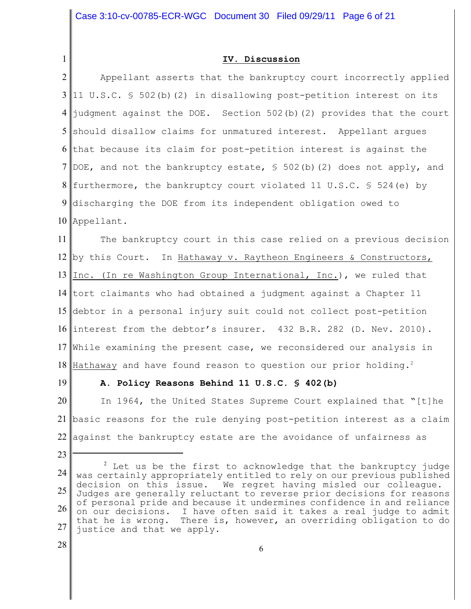#### **IV. Discussion**

2 3 4 5 should disallow claims for unmatured interest. Appellant argues 6 7 8 furthermore, the bankruptcy court violated 11 U.S.C. § 524(e) by 9 10 Appellant. Appellant asserts that the bankruptcy court incorrectly applied 11 U.S.C. § 502(b)(2) in disallowing post-petition interest on its  $\frac{1}{1}$ udgment against the DOE. Section 502(b)(2) provides that the court that because its claim for post-petition interest is against the DOE, and not the bankruptcy estate,  $\frac{1}{5}$  502(b)(2) does not apply, and discharging the DOE from its independent obligation owed to

11 12 by this Court. In Hathaway v. Raytheon Engineers & Constructors, 13 14 tort claimants who had obtained a judgment against a Chapter 11 15 debtor in a personal injury suit could not collect post-petition 16 interest from the debtor's insurer. 432 B.R. 282 (D. Nev. 2010). 17 While examining the present case, we reconsidered our analysis in 18 The bankruptcy court in this case relied on a previous decision Inc. (In re Washington Group International, Inc.), we ruled that Hathaway and have found reason to question our prior holding.<sup>2</sup>

19

23

1

#### **A. Policy Reasons Behind 11 U.S.C. § 402(b)**

20 21 basic reasons for the rule denying post-petition interest as a claim 22 against the bankruptcy estate are the avoidance of unfairness as In 1964, the United States Supreme Court explained that "[t]he

<sup>24</sup> 25 26 27  $2$  Let us be the first to acknowledge that the bankruptcy judge was certainly appropriately entitled to rely on our previous published decision on this issue. We regret having misled our colleague. Judges are generally reluctant to reverse prior decisions for reasons of personal pride and because it undermines confidence in and reliance on our decisions. I have often said it takes a real judge to admit that he is wrong. There is, however, an overriding obligation to do justice and that we apply.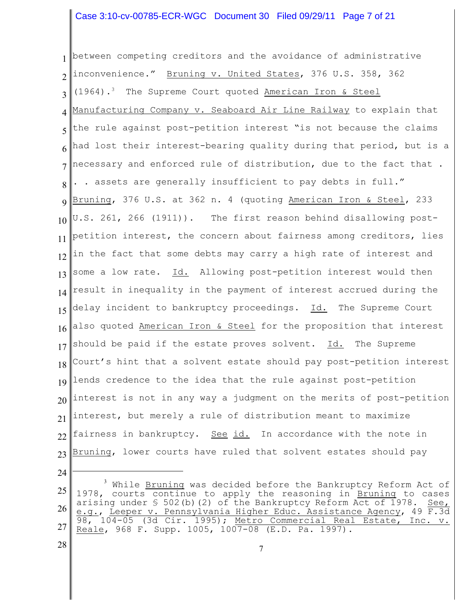# Case 3:10-cv-00785-ECR-WGC Document 30 Filed 09/29/11 Page 7 of 21

1 2 3 4 5 6 7 8 9 10 11 12 13 14 15 16 17 18 19 20 21 22 23 between competing creditors and the avoidance of administrative inconvenience." Bruning v. United States, 376 U.S. 358, 362  $(1964).$ <sup>3</sup> The Supreme Court quoted American Iron & Steel Manufacturing Company v. Seaboard Air Line Railway to explain that the rule against post-petition interest "is not because the claims had lost their interest-bearing quality during that period, but is a necessary and enforced rule of distribution, due to the fact that . . . assets are generally insufficient to pay debts in full." Bruning, 376 U.S. at 362 n. 4 (quoting American Iron & Steel, 233 U.S. 261, 266 (1911)). The first reason behind disallowing postpetition interest, the concern about fairness among creditors, lies in the fact that some debts may carry a high rate of interest and some a low rate. Id. Allowing post-petition interest would then result in inequality in the payment of interest accrued during the delay incident to bankruptcy proceedings. Id. The Supreme Court also quoted American Iron & Steel for the proposition that interest should be paid if the estate proves solvent. Id. The Supreme Court's hint that a solvent estate should pay post-petition interest lends credence to the idea that the rule against post-petition interest is not in any way a judgment on the merits of post-petition interest, but merely a rule of distribution meant to maximize fairness in bankruptcy. See id. In accordance with the note in Bruning, lower courts have ruled that solvent estates should pay

28

<sup>25</sup> 26 27 ' While Bruning was decided before the Bankruptcy Reform Act of 1978, courts continue to apply the reasoning in Bruning to cases arising under  $\frac{1}{5}$  502(b)(2) of the Bankruptcy Reform Act of 1978. See, e.g., Leeper v. Pennsylvania Higher Educ. Assistance Agency, 49 F.3d 98, 104-05 (3d Cir. 1995); Metro Commercial Real Estate, Inc. v. Reale, 968 F. Supp. 1005, 1007-08 (E.D. Pa. 1997).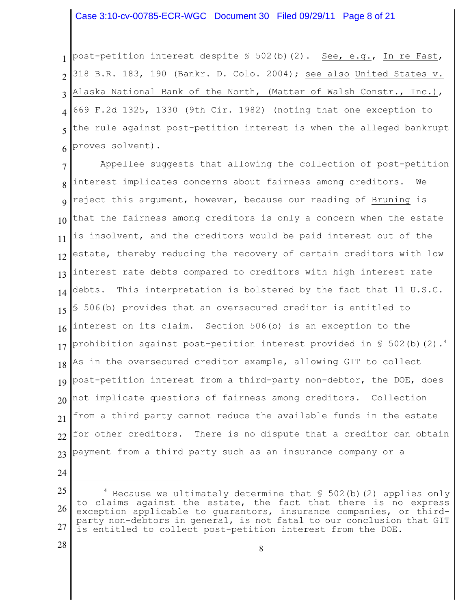#### Case 3:10-cv-00785-ECR-WGC Document 30 Filed 09/29/11 Page 8 of 21

1 2 3 4 5 6 post-petition interest despite  $\frac{1}{5}$  502(b)(2). See, e.g., In re Fast, 318 B.R. 183, 190 (Bankr. D. Colo. 2004); see also United States v. Alaska National Bank of the North, (Matter of Walsh Constr., Inc.), 669 F.2d 1325, 1330 (9th Cir. 1982) (noting that one exception to the rule against post-petition interest is when the alleged bankrupt proves solvent).

7 8 9 10 11 12 13 14 15 16 17 18 19 20 21 22 23 Appellee suggests that allowing the collection of post-petition interest implicates concerns about fairness among creditors. We reject this argument, however, because our reading of Bruning is that the fairness among creditors is only a concern when the estate is insolvent, and the creditors would be paid interest out of the estate, thereby reducing the recovery of certain creditors with low interest rate debts compared to creditors with high interest rate debts. This interpretation is bolstered by the fact that 11 U.S.C. § 506(b) provides that an oversecured creditor is entitled to interest on its claim. Section 506(b) is an exception to the prohibition against post-petition interest provided in § 502(b)(2). $^4$ As in the oversecured creditor example, allowing GIT to collect post-petition interest from a third-party non-debtor, the DOE, does not implicate questions of fairness among creditors. Collection from a third party cannot reduce the available funds in the estate for other creditors. There is no dispute that a creditor can obtain payment from a third party such as an insurance company or a

24

<sup>25</sup> 26 27  $4$  Because we ultimately determine that  $$502(b)(2)$  applies only to claims against the estate, the fact that there is no express exception applicable to guarantors, insurance companies, or thirdparty non-debtors in general, is not fatal to our conclusion that GIT is entitled to collect post-petition interest from the DOE.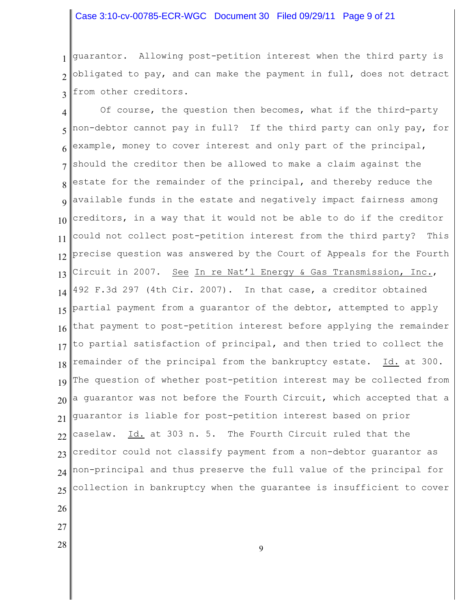### Case 3:10-cv-00785-ECR-WGC Document 30 Filed 09/29/11 Page 9 of 21

1 2 3 guarantor. Allowing post-petition interest when the third party is obligated to pay, and can make the payment in full, does not detract from other creditors.

4 5 6 7 8 9 10 11 12 13 14 15 16 17 18 19 20 21 22 23 24 25 26 Of course, the question then becomes, what if the third-party non-debtor cannot pay in full? If the third party can only pay, for example, money to cover interest and only part of the principal, should the creditor then be allowed to make a claim against the estate for the remainder of the principal, and thereby reduce the available funds in the estate and negatively impact fairness among creditors, in a way that it would not be able to do if the creditor could not collect post-petition interest from the third party? This precise question was answered by the Court of Appeals for the Fourth Circuit in 2007. See In re Nat'l Energy & Gas Transmission, Inc., 492 F.3d 297 (4th Cir. 2007). In that case, a creditor obtained partial payment from a guarantor of the debtor, attempted to apply that payment to post-petition interest before applying the remainder to partial satisfaction of principal, and then tried to collect the remainder of the principal from the bankruptcy estate. Id. at 300. The question of whether post-petition interest may be collected from a guarantor was not before the Fourth Circuit, which accepted that a guarantor is liable for post-petition interest based on prior caselaw. Id. at 303 n. 5. The Fourth Circuit ruled that the creditor could not classify payment from a non-debtor guarantor as non-principal and thus preserve the full value of the principal for collection in bankruptcy when the guarantee is insufficient to cover

- 
- 27
- 28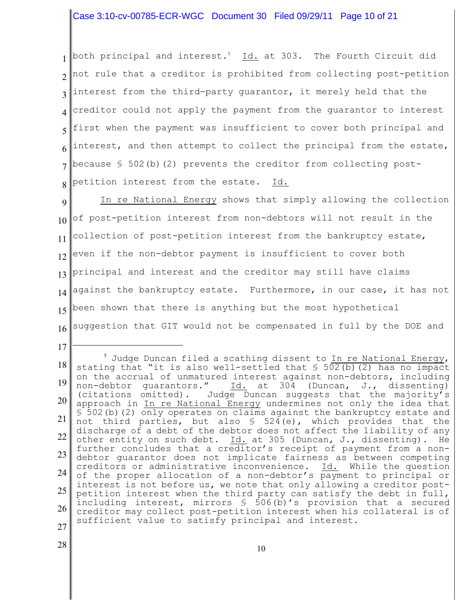# Case 3:10-cv-00785-ECR-WGC Document 30 Filed 09/29/11 Page 10 of 21

1 2 3 4 5 6 7 8 both principal and interest.<sup>5</sup> Id. at 303. The Fourth Circuit did not rule that a creditor is prohibited from collecting post-petition interest from the third-party guarantor, it merely held that the creditor could not apply the payment from the guarantor to interest first when the payment was insufficient to cover both principal and interest, and then attempt to collect the principal from the estate, because  $$502(b)(2)$  prevents the creditor from collecting postpetition interest from the estate. Id.

9 10 11 12 13 14 15 16 In re National Energy shows that simply allowing the collection of post-petition interest from non-debtors will not result in the collection of post-petition interest from the bankruptcy estate, even if the non-debtor payment is insufficient to cover both principal and interest and the creditor may still have claims against the bankruptcy estate. Furthermore, in our case, it has not been shown that there is anything but the most hypothetical suggestion that GIT would not be compensated in full by the DOE and

18 19 20 21 22 23 24 25 26 27  $^5$  Judge Duncan filed a scathing dissent to In re National Energy, stating that "it is also well-settled that § 502(b)(2) has no impact on the accrual of unmatured interest against non-debtors, including<br>non-debtor guarantors."  $\underline{Id.}$  at 304 (Duncan, J., dissenting) Id. at 304 (Duncan, J., dissenting) (citations omitted). Judge Duncan suggests that the majority's approach in In re National Energy undermines not only the idea that § 502(b)(2) only operates on claims against the bankruptcy estate and not third parties, but also  $\frac{1}{5}$  524(e), which provides that the discharge of a debt of the debtor does not affect the liability of any other entity on such debt. Id. at 305 (Duncan, J., dissenting). He further concludes that a creditor's receipt of payment from a nondebtor guarantor does not implicate fairness as between competing creditors or administrative inconvenience. Id. While the question of the proper allocation of a non-debtor's payment to principal or interest is not before us, we note that only allowing a creditor postpetition interest when the third party can satisfy the debt in full, including interest, mirrors § 506(b)'s provision that a secured creditor may collect post-petition interest when his collateral is of sufficient value to satisfy principal and interest.

28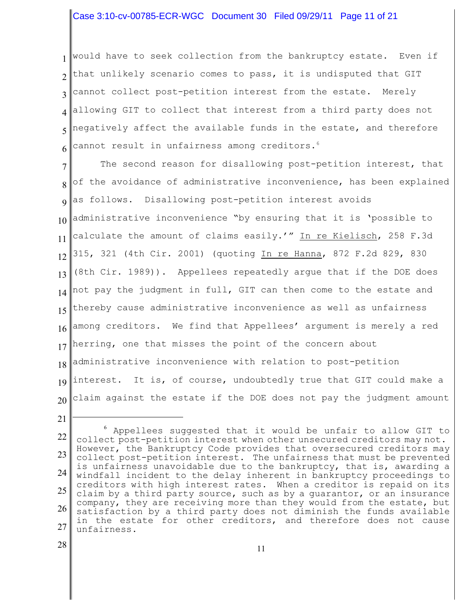## Case 3:10-cv-00785-ECR-WGC Document 30 Filed 09/29/11 Page 11 of 21

1 2 3 4 5 6 would have to seek collection from the bankruptcy estate. Even if that unlikely scenario comes to pass, it is undisputed that GIT cannot collect post-petition interest from the estate. Merely allowing GIT to collect that interest from a third party does not negatively affect the available funds in the estate, and therefore cannot result in unfairness among creditors. 6

7 8 9 10 11 12 13 14 15 16 17 18 19 20 The second reason for disallowing post-petition interest, that of the avoidance of administrative inconvenience, has been explained as follows. Disallowing post-petition interest avoids administrative inconvenience "by ensuring that it is 'possible to calculate the amount of claims easily.'" In re Kielisch, 258 F.3d 315, 321 (4th Cir. 2001) (quoting In re Hanna, 872 F.2d 829, 830 (8th Cir. 1989)). Appellees repeatedly argue that if the DOE does not pay the judgment in full, GIT can then come to the estate and thereby cause administrative inconvenience as well as unfairness among creditors. We find that Appellees' argument is merely a red herring, one that misses the point of the concern about administrative inconvenience with relation to post-petition interest. It is, of course, undoubtedly true that GIT could make a claim against the estate if the DOE does not pay the judgment amount

28

<sup>22</sup> 23 24 25 26 27 <sup>6</sup> Appellees suggested that it would be unfair to allow GIT to collect post-petition interest when other unsecured creditors may not. However, the Bankruptcy Code provides that oversecured creditors may collect post-petition interest. The unfairness that must be prevented is unfairness unavoidable due to the bankruptcy, that is, awarding a windfall incident to the delay inherent in bankruptcy proceedings to creditors with high interest rates. When a creditor is repaid on its claim by a third party source, such as by a guarantor, or an insurance company, they are receiving more than they would from the estate, but satisfaction by a third party does not diminish the funds available in the estate for other creditors, and therefore does not cause unfairness.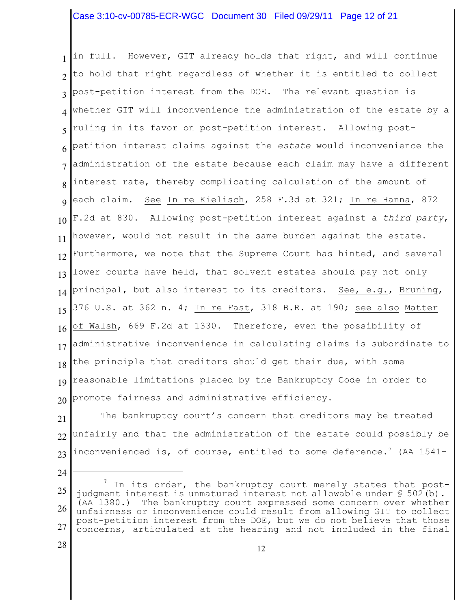# Case 3:10-cv-00785-ECR-WGC Document 30 Filed 09/29/11 Page 12 of 21

1 2 3 4 5 6 7 8 9 10 11 12 13 14 15 16 17 18 19 20 in full. However, GIT already holds that right, and will continue to hold that right regardless of whether it is entitled to collect post-petition interest from the DOE. The relevant question is whether GIT will inconvenience the administration of the estate by a ruling in its favor on post-petition interest. Allowing postpetition interest claims against the *estate* would inconvenience the administration of the estate because each claim may have a different interest rate, thereby complicating calculation of the amount of each claim. See In re Kielisch, 258 F.3d at 321; In re Hanna, 872 F.2d at 830. Allowing post-petition interest against a *third party*, however, would not result in the same burden against the estate. Furthermore, we note that the Supreme Court has hinted, and several lower courts have held, that solvent estates should pay not only principal, but also interest to its creditors. See, e.g., Bruning, 376 U.S. at 362 n. 4; In re Fast, 318 B.R. at 190; see also Matter of Walsh, 669 F.2d at 1330. Therefore, even the possibility of administrative inconvenience in calculating claims is subordinate to the principle that creditors should get their due, with some reasonable limitations placed by the Bankruptcy Code in order to promote fairness and administrative efficiency.

21 22 23 The bankruptcy court's concern that creditors may be treated unfairly and that the administration of the estate could possibly be inconvenienced is, of course, entitled to some deference.' (AA 1541-

28

<sup>25</sup> 26 27  $'$  In its order, the bankruptcy court merely states that postjudgment interest is unmatured interest not allowable under § 502(b). (AA 1380.) The bankruptcy court expressed some concern over whether unfairness or inconvenience could result from allowing GIT to collect post-petition interest from the DOE, but we do not believe that those concerns, articulated at the hearing and not included in the final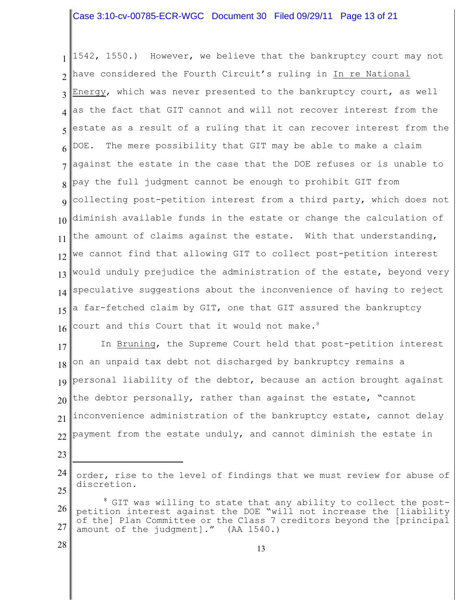# Case 3:10-cv-00785-ECR-WGC Document 30 Filed 09/29/11 Page 13 of 21

1 2 3 4 5 6 7 8 9 10 11 12 13 14 15 16 1542, 1550.) However, we believe that the bankruptcy court may not have considered the Fourth Circuit's ruling in In re National Energy, which was never presented to the bankruptcy court, as well as the fact that GIT cannot and will not recover interest from the estate as a result of a ruling that it can recover interest from the DOE. The mere possibility that GIT may be able to make a claim against the estate in the case that the DOE refuses or is unable to pay the full judgment cannot be enough to prohibit GIT from collecting post-petition interest from a third party, which does not diminish available funds in the estate or change the calculation of the amount of claims against the estate. With that understanding, we cannot find that allowing GIT to collect post-petition interest would unduly prejudice the administration of the estate, beyond very speculative suggestions about the inconvenience of having to reject a far-fetched claim by GIT, one that GIT assured the bankruptcy court and this Court that it would not make.<sup>8</sup>

17 18 19 20 21 22 In Bruning, the Supreme Court held that post-petition interest on an unpaid tax debt not discharged by bankruptcy remains a personal liability of the debtor, because an action brought against the debtor personally, rather than against the estate, "cannot inconvenience administration of the bankruptcy estate, cannot delay payment from the estate unduly, and cannot diminish the estate in

23

<sup>24</sup> 25 order, rise to the level of findings that we must review for abuse of discretion.

<sup>26</sup> 27  $^8$  GIT was willing to state that any ability to collect the postpetition interest against the DOE "will not increase the [liability of the] Plan Committee or the Class 7 creditors beyond the [principal amount of the judgment]." (AA 1540.)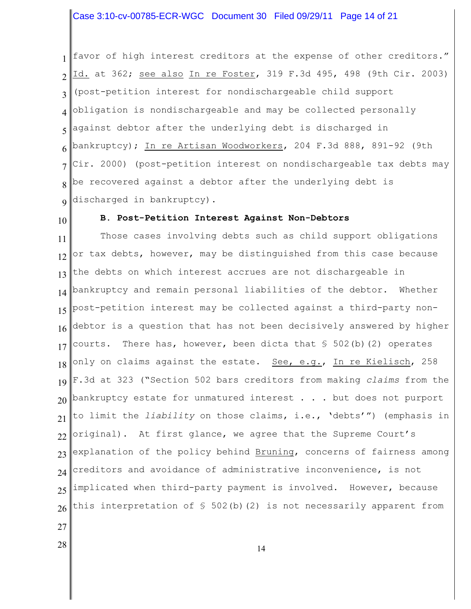### Case 3:10-cv-00785-ECR-WGC Document 30 Filed 09/29/11 Page 14 of 21

1 2 3 4 5 6 7 8 9 favor of high interest creditors at the expense of other creditors." Id. at 362; see also In re Foster, 319 F.3d 495, 498 (9th Cir. 2003) (post-petition interest for nondischargeable child support obligation is nondischargeable and may be collected personally against debtor after the underlying debt is discharged in bankruptcy); In re Artisan Woodworkers, 204 F.3d 888, 891-92 (9th Cir. 2000) (post-petition interest on nondischargeable tax debts may be recovered against a debtor after the underlying debt is discharged in bankruptcy).

10

#### **B. Post-Petition Interest Against Non-Debtors**

11 12 13 14 15 16 17 18 19 20 21 22 23 24 25 26 Those cases involving debts such as child support obligations or tax debts, however, may be distinguished from this case because the debts on which interest accrues are not dischargeable in bankruptcy and remain personal liabilities of the debtor. Whether post-petition interest may be collected against a third-party nondebtor is a question that has not been decisively answered by higher courts. There has, however, been dicta that  $\S$  502(b)(2) operates only on claims against the estate. See, e.g., In re Kielisch, 258 F.3d at 323 ("Section 502 bars creditors from making *claims* from the bankruptcy estate for unmatured interest . . . but does not purport to limit the *liability* on those claims, i.e., 'debts'") (emphasis in original). At first glance, we agree that the Supreme Court's explanation of the policy behind Bruning, concerns of fairness among creditors and avoidance of administrative inconvenience, is not implicated when third-party payment is involved. However, because this interpretation of § 502(b)(2) is not necessarily apparent from

- 27
- 28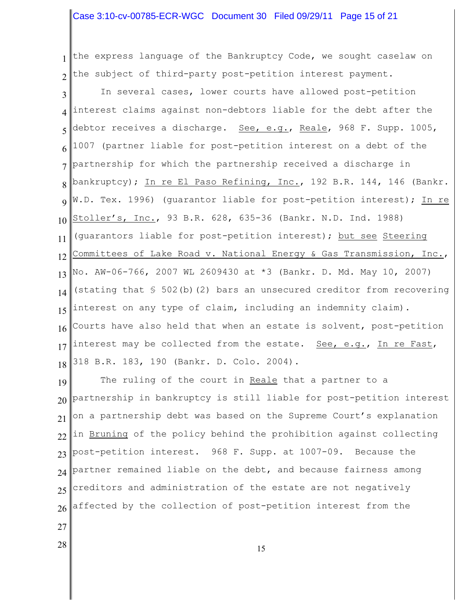### Case 3:10-cv-00785-ECR-WGC Document 30 Filed 09/29/11 Page 15 of 21

1 2 the express language of the Bankruptcy Code, we sought caselaw on the subject of third-party post-petition interest payment.

3 4 5 6 7 8 9 10 11 12 13 14 15 16 17 18 In several cases, lower courts have allowed post-petition interest claims against non-debtors liable for the debt after the debtor receives a discharge. See, e.g., Reale, 968 F. Supp. 1005, 1007 (partner liable for post-petition interest on a debt of the partnership for which the partnership received a discharge in bankruptcy); In re El Paso Refining, Inc., 192 B.R. 144, 146 (Bankr. W.D. Tex. 1996) (guarantor liable for post-petition interest); In re Stoller's, Inc., 93 B.R. 628, 635-36 (Bankr. N.D. Ind. 1988) (guarantors liable for post-petition interest); but see Steering Committees of Lake Road v. National Energy & Gas Transmission, Inc., No. AW-06-766, 2007 WL 2609430 at \*3 (Bankr. D. Md. May 10, 2007) (stating that  $\frac{1}{5}$  502(b)(2) bars an unsecured creditor from recovering interest on any type of claim, including an indemnity claim). Courts have also held that when an estate is solvent, post-petition interest may be collected from the estate. See, e.g., In re Fast, 318 B.R. 183, 190 (Bankr. D. Colo. 2004).

19 20 21 22 23 24 25 26 The ruling of the court in Reale that a partner to a partnership in bankruptcy is still liable for post-petition interest on a partnership debt was based on the Supreme Court's explanation in Bruning of the policy behind the prohibition against collecting post-petition interest. 968 F. Supp. at 1007-09. Because the partner remained liable on the debt, and because fairness among creditors and administration of the estate are not negatively affected by the collection of post-petition interest from the

27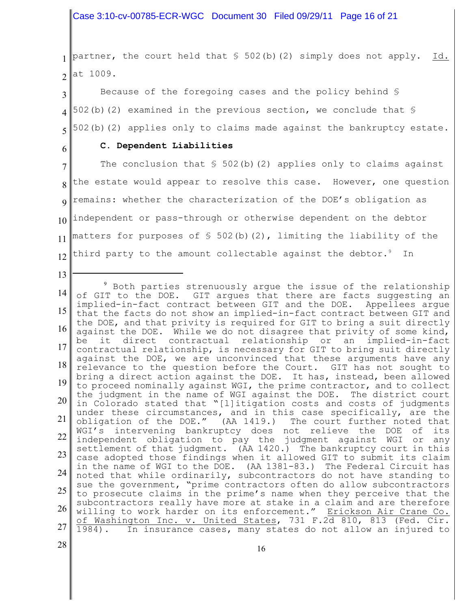Case 3:10-cv-00785-ECR-WGC Document 30 Filed 09/29/11 Page 16 of 21

1 2 partner, the court held that  $\frac{1}{5}$  502(b)(2) simply does not apply. Id. at 1009.

3 4 5 Because of the foregoing cases and the policy behind § 502(b)(2) examined in the previous section, we conclude that § 502(b)(2) applies only to claims made against the bankruptcy estate.

6

13

#### **C. Dependent Liabilities**

7 8 9 10 11 12 The conclusion that  $\frac{1}{5}$  502(b)(2) applies only to claims against the estate would appear to resolve this case. However, one question remains: whether the characterization of the DOE's obligation as independent or pass-through or otherwise dependent on the debtor matters for purposes of  $\frac{1}{5}$  502(b)(2), limiting the liability of the third party to the amount collectable against the debtor. $^9$  In

14 15 16 17 18 19 20 21 22 23 24 25 26 27 <sup>9</sup> Both parties strenuously argue the issue of the relationship of GIT to the DOE. GIT argues that there are facts suggesting an implied-in-fact contract between GIT and the DOE. Appellees argue that the facts do not show an implied-in-fact contract between GIT and the DOE, and that privity is required for GIT to bring a suit directly against the DOE. While we do not disagree that privity of some kind, be it direct contractual relationship or an implied-in-fact contractual relationship, is necessary for GIT to bring suit directly against the DOE, we are unconvinced that these arguments have any relevance to the question before the Court. GIT has not sought to bring a direct action against the DOE. It has, instead, been allowed to proceed nominally against WGI, the prime contractor, and to collect the judgment in the name of WGI against the DOE. The district court in Colorado stated that "[l]itigation costs and costs of judgments under these circumstances, and in this case specifically, are the obligation of the DOE." (AA 1419.) The court further noted that WGI's intervening bankruptcy does not relieve the DOE of its independent obligation to pay the judgment against WGI or any settlement of that judgment. (AA 1420.) The bankruptcy court in this case adopted those findings when it allowed GIT to submit its claim in the name of WGI to the DOE. (AA 1381-83.) The Federal Circuit has noted that while ordinarily, subcontractors do not have standing to sue the government, "prime contractors often do allow subcontractors to prosecute claims in the prime's name when they perceive that the subcontractors really have more at stake in a claim and are therefore willing to work harder on its enforcement." Erickson Air Crane Co. of Washington Inc. v. United States, 731 F.2d 810, 813 (Fed. Cir. 1984). In insurance cases, many states do not allow an injured to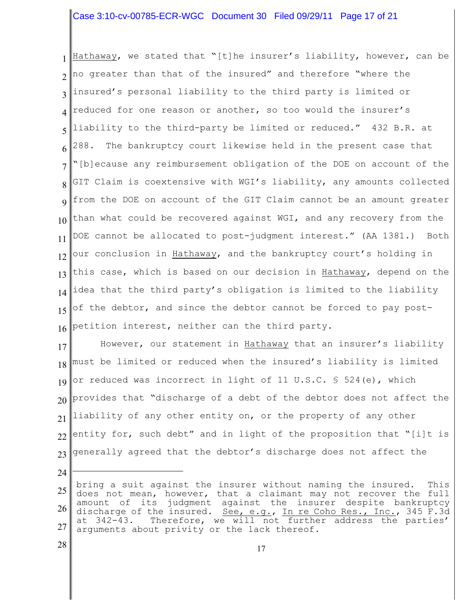# Case 3:10-cv-00785-ECR-WGC Document 30 Filed 09/29/11 Page 17 of 21

1 2 3 4 5 6 7 8 9 10 11 12 13 14 15 16 Hathaway, we stated that "[t]he insurer's liability, however, can be no greater than that of the insured" and therefore "where the insured's personal liability to the third party is limited or reduced for one reason or another, so too would the insurer's liability to the third-party be limited or reduced." 432 B.R. at 288. The bankruptcy court likewise held in the present case that "[b]ecause any reimbursement obligation of the DOE on account of the GIT Claim is coextensive with WGI's liability, any amounts collected from the DOE on account of the GIT Claim cannot be an amount greater than what could be recovered against WGI, and any recovery from the DOE cannot be allocated to post-judgment interest." (AA 1381.) Both our conclusion in Hathaway, and the bankruptcy court's holding in this case, which is based on our decision in Hathaway, depend on the idea that the third party's obligation is limited to the liability of the debtor, and since the debtor cannot be forced to pay postpetition interest, neither can the third party.

17 18 19 20 21 22 23 However, our statement in Hathaway that an insurer's liability must be limited or reduced when the insured's liability is limited or reduced was incorrect in light of 11 U.S.C.  $S$  524(e), which provides that "discharge of a debt of the debtor does not affect the liability of any other entity on, or the property of any other entity for, such debt" and in light of the proposition that "[i]t is generally agreed that the debtor's discharge does not affect the

28

<sup>25</sup> 26 27 bring a suit against the insurer without naming the insured. This does not mean, however, that a claimant may not recover the full amount of its judgment against the insurer despite bankruptcy discharge of the insured. <u>See, e.g., In re Coho Res., Inc.</u>, 345 F.3d<br>at 342-43. Therefore, we will not further address the parties' Therefore, we will not further address the parties' arguments about privity or the lack thereof.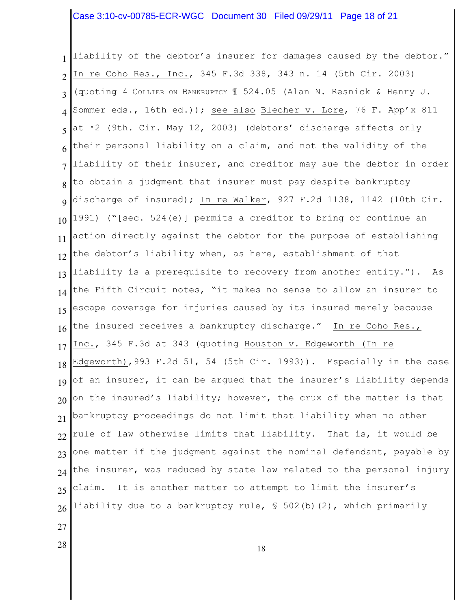# Case 3:10-cv-00785-ECR-WGC Document 30 Filed 09/29/11 Page 18 of 21

1 2 3 4 5 6 7 8 9 10 11 12 13 14 15 16 17 18 19 20 21 22 23 24 25 26 liability of the debtor's insurer for damages caused by the debtor." In re Coho Res., Inc., 345 F.3d 338, 343 n. 14 (5th Cir. 2003) (quoting 4 COLLIER ON BANKRUPTCY ¶ 524.05 (Alan N. Resnick & Henry J. Sommer eds., 16th ed.)); <u>see also</u> Blecher v. Lore, 76 F. App'x 811 at \*2 (9th. Cir. May 12, 2003) (debtors' discharge affects only their personal liability on a claim, and not the validity of the liability of their insurer, and creditor may sue the debtor in order to obtain a judgment that insurer must pay despite bankruptcy discharge of insured); In re Walker, 927 F.2d 1138, 1142 (10th Cir. 1991) ("[sec. 524(e)] permits a creditor to bring or continue an action directly against the debtor for the purpose of establishing the debtor's liability when, as here, establishment of that liability is a prerequisite to recovery from another entity."). As the Fifth Circuit notes, "it makes no sense to allow an insurer to escape coverage for injuries caused by its insured merely because the insured receives a bankruptcy discharge." In re Coho Res., Inc., 345 F.3d at 343 (quoting Houston v. Edgeworth (In re Edgeworth),993 F.2d 51, 54 (5th Cir. 1993)). Especially in the case of an insurer, it can be argued that the insurer's liability depends on the insured's liability; however, the crux of the matter is that bankruptcy proceedings do not limit that liability when no other rule of law otherwise limits that liability. That is, it would be one matter if the judgment against the nominal defendant, payable by the insurer, was reduced by state law related to the personal injury claim. It is another matter to attempt to limit the insurer's liability due to a bankruptcy rule, § 502(b)(2), which primarily

18

27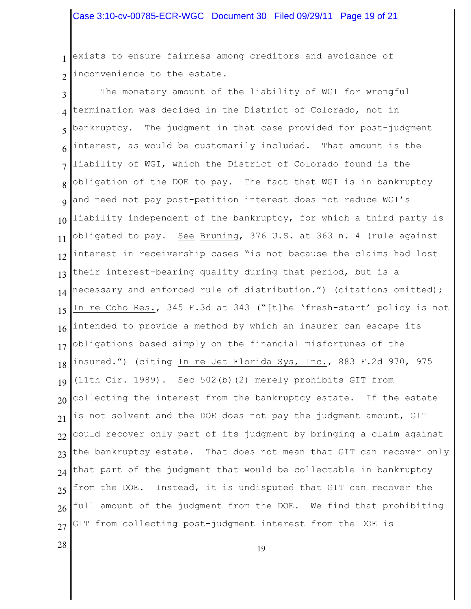1 2 exists to ensure fairness among creditors and avoidance of inconvenience to the estate.

3 4 5 6 7 8 9 10 11 12 13 14 15 16 17 18 19 20 21 22 23 24 25 26 27 The monetary amount of the liability of WGI for wrongful termination was decided in the District of Colorado, not in bankruptcy. The judgment in that case provided for post-judgment interest, as would be customarily included. That amount is the liability of WGI, which the District of Colorado found is the obligation of the DOE to pay. The fact that WGI is in bankruptcy and need not pay post-petition interest does not reduce WGI's liability independent of the bankruptcy, for which a third party is obligated to pay. <u>See</u> <u>Bruning</u>, 376 U.S. at 363 n. 4 (rule against interest in receivership cases "is not because the claims had lost their interest-bearing quality during that period, but is a necessary and enforced rule of distribution.") (citations omitted); In re Coho Res., 345 F.3d at 343 ("[t]he 'fresh-start' policy is not intended to provide a method by which an insurer can escape its obligations based simply on the financial misfortunes of the insured.") (citing In re Jet Florida Sys, Inc., 883 F.2d 970, 975 (11th Cir. 1989). Sec 502(b)(2) merely prohibits GIT from collecting the interest from the bankruptcy estate. If the estate is not solvent and the DOE does not pay the judgment amount, GIT could recover only part of its judgment by bringing a claim against the bankruptcy estate. That does not mean that GIT can recover only that part of the judgment that would be collectable in bankruptcy from the DOE. Instead, it is undisputed that GIT can recover the full amount of the judgment from the DOE. We find that prohibiting GIT from collecting post-judgment interest from the DOE is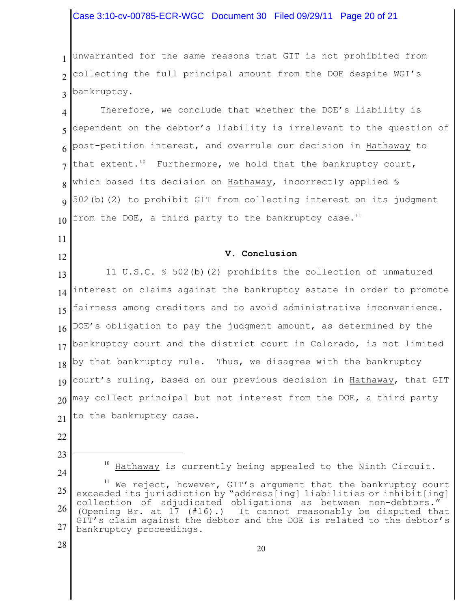# Case 3:10-cv-00785-ECR-WGC Document 30 Filed 09/29/11 Page 20 of 21

1 2 3 unwarranted for the same reasons that GIT is not prohibited from collecting the full principal amount from the DOE despite WGI's bankruptcy.

4 5 6 7 8 9 10 Therefore, we conclude that whether the DOE's liability is dependent on the debtor's liability is irrelevant to the question of post-petition interest, and overrule our decision in Hathaway to that extent.<sup>10</sup> Furthermore, we hold that the bankruptcy court, which based its decision on Hathaway, incorrectly applied § 502(b)(2) to prohibit GIT from collecting interest on its judgment from the DOE, a third party to the bankruptcy case.<sup>11</sup>

### **V. Conclusion**

13 14 15 16 17 18 19 20 21 11 U.S.C. § 502(b)(2) prohibits the collection of unmatured interest on claims against the bankruptcy estate in order to promote fairness among creditors and to avoid administrative inconvenience. DOE's obligation to pay the judgment amount, as determined by the bankruptcy court and the district court in Colorado, is not limited by that bankruptcy rule. Thus, we disagree with the bankruptcy court's ruling, based on our previous decision in Hathaway, that GIT may collect principal but not interest from the DOE, a third party to the bankruptcy case.

22

11

12

23 24

 $10$  Hathaway is currently being appealed to the Ninth Circuit.

<sup>25</sup> 26 27  $11$  We reject, however, GIT's argument that the bankruptcy court exceeded its jurisdiction by "address[ing] liabilities or inhibit[ing] collection of adjudicated obligations as between non-debtors." (Opening Br. at 17 (#16).) It cannot reasonably be disputed that GIT's claim against the debtor and the DOE is related to the debtor's bankruptcy proceedings.